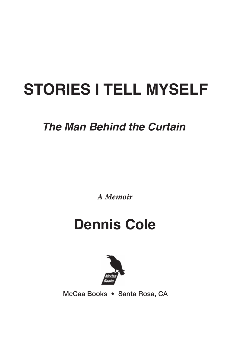# **STORIES I TELL MYSELF**

### *The Man Behind the Curtain*

*A Memoir*

## **Dennis Cole**



McCaa Books • Santa Rosa, CA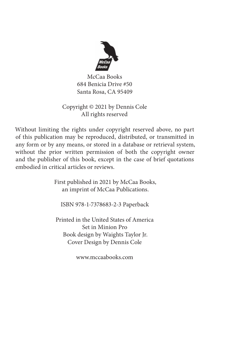

McCaa Books 684 Benicia Drive #50 Santa Rosa, CA 95409

#### Copyright © 2021 by Dennis Cole All rights reserved

Without limiting the rights under copyright reserved above, no part of this publication may be reproduced, distributed, or transmitted in any form or by any means, or stored in a database or retrieval system, without the prior written permission of both the copyright owner and the publisher of this book, except in the case of brief quotations embodied in critical articles or reviews.

> First published in 2021 by McCaa Books, an imprint of McCaa Publications.

ISBN 978-1-7378683-2-3 Paperback

Printed in the United States of America Set in Minion Pro Book design by Waights Taylor Jr. Cover Design by Dennis Cole

www.mccaabooks.com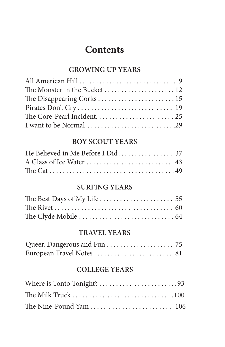### **Contents**

### **GROWING UP YEARS**

| The Monster in the Bucket  12 |  |
|-------------------------------|--|
|                               |  |
|                               |  |
|                               |  |
|                               |  |

### **BOY SCOUT YEARS**

### **SURFING YEARS**

#### **TRAVEL YEARS**

### **COLLEGE YEARS**

| The Nine-Pound Yam   106 |  |
|--------------------------|--|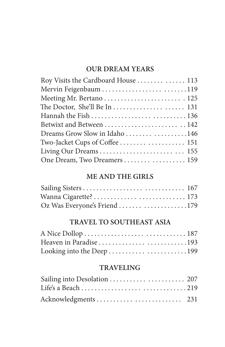### **OUR DREAM YEARS**

| Roy Visits the Cardboard House  113 |  |
|-------------------------------------|--|
| Mervin Feigenbaum 119               |  |
| Meeting Mr. Bertano  125            |  |
|                                     |  |
|                                     |  |
| Betwixt and Between  142            |  |
| Dreams Grow Slow in Idaho 146       |  |
| Two-Jacket Cups of Coffee  151      |  |
|                                     |  |
| One Dream, Two Dreamers 159         |  |

### **ME AND THE GIRLS**

| Oz Was Everyone's Friend 179 |  |
|------------------------------|--|

### **TRAVEL TO SOUTHEAST ASIA**

| Looking into the Deep 199 |  |
|---------------------------|--|

### **TRAVELING**

| Sailing into Desolation  207 |  |
|------------------------------|--|
|                              |  |
| Acknowledgments  231         |  |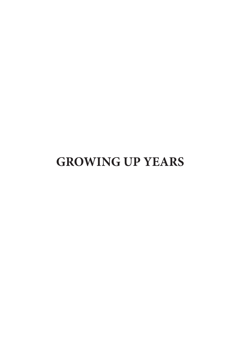### **GROWING UP YEARS**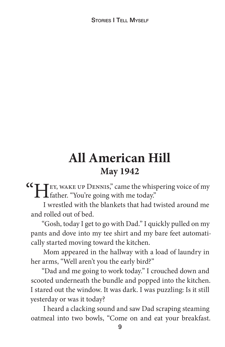STORIES **I TELL MYSELE** 

### **All American Hill May 1942**

**CC** FIR, WAKE UP DENNIS," came the whispering voice of my father. "You're going with me today."

I wrestled with the blankets that had twisted around me and rolled out of bed.

"Gosh, today I get to go with Dad." I quickly pulled on my pants and dove into my tee shirt and my bare feet automatically started moving toward the kitchen.

Mom appeared in the hallway with a load of laundry in her arms, "Well aren't you the early bird?"

"Dad and me going to work today." I crouched down and scooted underneath the bundle and popped into the kitchen. I stared out the window. It was dark. I was puzzling: Is it still yesterday or was it today?

I heard a clacking sound and saw Dad scraping steaming oatmeal into two bowls, "Come on and eat your breakfast.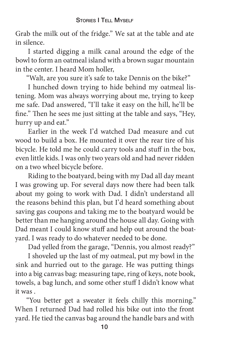Grab the milk out of the fridge." We sat at the table and ate in silence.

I started digging a milk canal around the edge of the bowl to form an oatmeal island with a brown sugar mountain in the center. I heard Mom holler,

"Walt, are you sure it's safe to take Dennis on the bike?"

I hunched down trying to hide behind my oatmeal listening. Mom was always worrying about me, trying to keep me safe. Dad answered, "I'll take it easy on the hill, he'll be fine." Then he sees me just sitting at the table and says, "Hey, hurry up and eat."

Earlier in the week I'd watched Dad measure and cut wood to build a box. He mounted it over the rear tire of his bicycle. He told me he could carry tools and stuff in the box, even little kids. I was only two years old and had never ridden on a two wheel bicycle before.

Riding to the boatyard, being with my Dad all day meant I was growing up. For several days now there had been talk about my going to work with Dad. I didn't understand all the reasons behind this plan, but I'd heard something about saving gas coupons and taking me to the boatyard would be better than me hanging around the house all day. Going with Dad meant I could know stuff and help out around the boatyard. I was ready to do whatever needed to be done.

Dad yelled from the garage, "Dennis, you almost ready?"

I shoveled up the last of my oatmeal, put my bowl in the sink and hurried out to the garage. He was putting things into a big canvas bag: measuring tape, ring of keys, note book, towels, a bag lunch, and some other stuff I didn't know what it was .

"You better get a sweater it feels chilly this morning." When I returned Dad had rolled his bike out into the front yard. He tied the canvas bag around the handle bars and with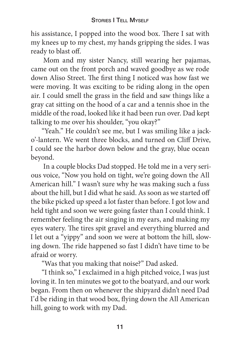his assistance, I popped into the wood box. There I sat with my knees up to my chest, my hands gripping the sides. I was ready to blast off.

Mom and my sister Nancy, still wearing her pajamas, came out on the front porch and waved goodbye as we rode down Aliso Street. The first thing I noticed was how fast we were moving. It was exciting to be riding along in the open air. I could smell the grass in the field and saw things like a gray cat sitting on the hood of a car and a tennis shoe in the middle of the road, looked like it had been run over. Dad kept talking to me over his shoulder, "you okay?"

"Yeah." He couldn't see me, but I was smiling like a jacko'-lantern. We went three blocks, and turned on Cliff Drive, I could see the harbor down below and the gray, blue ocean beyond.

In a couple blocks Dad stopped. He told me in a very serious voice, "Now you hold on tight, we're going down the All American hill." I wasn't sure why he was making such a fuss about the hill, but I did what he said. As soon as we started off the bike picked up speed a lot faster than before. I got low and held tight and soon we were going faster than I could think. I remember feeling the air singing in my ears, and making my eyes watery. The tires spit gravel and everything blurred and I let out a "yippy" and soon we were at bottom the hill, slowing down. The ride happened so fast I didn't have time to be afraid or worry.

"Was that you making that noise?" Dad asked.

"I think so," I exclaimed in a high pitched voice, I was just loving it. In ten minutes we got to the boatyard, and our work began. From then on whenever the shipyard didn't need Dad I'd be riding in that wood box, flying down the All American hill, going to work with my Dad.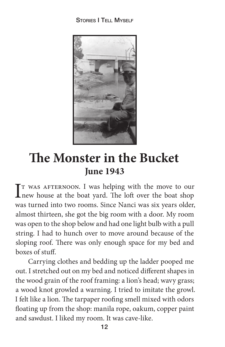#### STORIES **I** TELL MYSELE



### **e Monster in the Bucket June 1943**

IT WAS AFTERNOON. I was helping with the move to our new house at the boat yard. The loft over the boat shop new house at the boat yard. The loft over the boat shop was turned into two rooms. Since Nanci was six years older, almost thirteen, she got the big room with a door. My room was open to the shop below and had one light bulb with a pull string. I had to hunch over to move around because of the sloping roof. There was only enough space for my bed and boxes of stuff.

Carrying clothes and bedding up the ladder pooped me out. I stretched out on my bed and noticed different shapes in the wood grain of the roof framing: a lion's head; wavy grass; a wood knot growled a warning. I tried to imitate the growl. I felt like a lion. The tarpaper roofing smell mixed with odors floating up from the shop: manila rope, oakum, copper paint and sawdust. I liked my room. It was cave-like.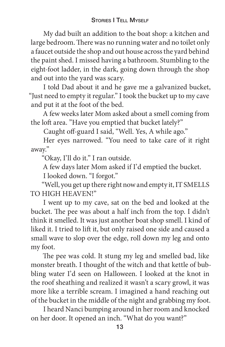My dad built an addition to the boat shop: a kitchen and large bedroom. There was no running water and no toilet only a faucet outside the shop and out house across the yard behind the paint shed. I missed having a bathroom. Stumbling to the eight-foot ladder, in the dark, going down through the shop and out into the yard was scary.

I told Dad about it and he gave me a galvanized bucket, "Just need to empty it regular." I took the bucket up to my cave and put it at the foot of the bed.

A few weeks later Mom asked about a smell coming from the loft area. "Have you emptied that bucket lately?"

Caught off-guard I said, "Well. Yes, A while ago."

Her eyes narrowed. "You need to take care of it right away."

"Okay, I'll do it." I ran outside.

A few days later Mom asked if I'd emptied the bucket.

I looked down. "I forgot."

"Well, you get up there right now and empty it, IT SMELLS TO HIGH HEAVEN!"

I went up to my cave, sat on the bed and looked at the bucket. The pee was about a half inch from the top. I didn't think it smelled. It was just another boat shop smell. I kind of liked it. I tried to lift it, but only raised one side and caused a small wave to slop over the edge, roll down my leg and onto my foot.

The pee was cold. It stung my leg and smelled bad, like monster breath. I thought of the witch and that kettle of bubbling water I'd seen on Halloween. I looked at the knot in the roof sheathing and realized it wasn't a scary growl, it was more like a terrible scream. I imagined a hand reaching out of the bucket in the middle of the night and grabbing my foot.

I heard Nanci bumping around in her room and knocked on her door. It opened an inch. "What do you want?"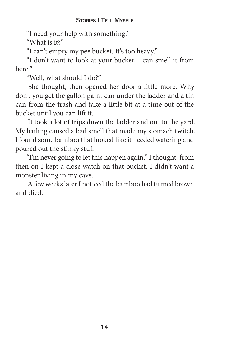#### STORIES **I TELL MYSELE**

"I need your help with something."

"What is it?"

"I can't empty my pee bucket. It's too heavy."

"I don't want to look at your bucket, I can smell it from here."

"Well, what should I do?"

She thought, then opened her door a little more. Why don't you get the gallon paint can under the ladder and a tin can from the trash and take a little bit at a time out of the bucket until you can lift it.

It took a lot of trips down the ladder and out to the yard. My bailing caused a bad smell that made my stomach twitch. I found some bamboo that looked like it needed watering and poured out the stinky stuff.

"I'm never going to let this happen again," I thought. from then on I kept a close watch on that bucket. I didn't want a monster living in my cave.

A few weeks later I noticed the bamboo had turned brown and died.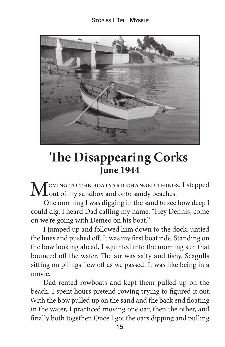

### **The Disappearing Corks June 1944**

MOVING TO THE BOATYARD CHANGED THINGS. I stepped<br>
out of my sandbox and onto sandy beaches.

One morning I was digging in the sand to see how deep I could dig. I heard Dad calling my name. "Hey Dennis, come on we're going with Demeo on his boat."

I jumped up and followed him down to the dock, untied the lines and pushed off. It was my first boat ride. Standing on the bow looking ahead, I squinted into the morning sun that bounced off the water. The air was salty and fishy. Seagulls sitting on pilings flew off as we passed. It was like being in a movie.

Dad rented rowboats and kept them pulled up on the beach. I spent hours pretend rowing trying to figured it out. With the bow pulled up on the sand and the back end floating in the water, I practiced moving one oar, then the other, and nally both together. Once I got the oars dipping and pulling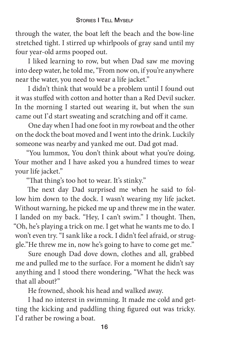through the water, the boat left the beach and the bow-line stretched tight. I stirred up whirlpools of gray sand until my four year-old arms pooped out.

I liked learning to row, but when Dad saw me moving into deep water, he told me, "From now on, if you're anywhere near the water, you need to wear a life jacket."

I didn't think that would be a problem until I found out it was stuffed with cotton and hotter than a Red Devil sucker. In the morning I started out wearing it, but when the sun came out I'd start sweating and scratching and off it came.

One day when I had one foot in my rowboat and the other on the dock the boat moved and I went into the drink. Luckily someone was nearby and yanked me out. Dad got mad.

"You lummox, You don't think about what you're doing. Your mother and I have asked you a hundred times to wear your life jacket."

"That thing's too hot to wear. It's stinky."

The next day Dad surprised me when he said to follow him down to the dock. I wasn't wearing my life jacket. Without warning, he picked me up and threw me in the water. I landed on my back. "Hey, I can't swim." I thought. Then, "Oh, he's playing a trick on me. I get what he wants me to do. I won't even try. "I sank like a rock. I didn't feel afraid, or struggle."He threw me in, now he's going to have to come get me."

Sure enough Dad dove down, clothes and all, grabbed me and pulled me to the surface. For a moment he didn't say anything and I stood there wondering, "What the heck was that all about?"

He frowned, shook his head and walked away.

I had no interest in swimming. It made me cold and getting the kicking and paddling thing figured out was tricky. I'd rather be rowing a boat.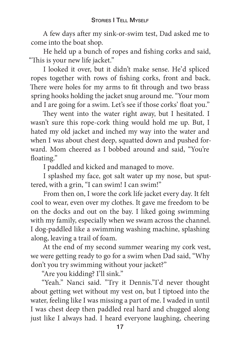A few days after my sink-or-swim test, Dad asked me to come into the boat shop.

He held up a bunch of ropes and fishing corks and said, "This is your new life jacket."

I looked it over, but it didn't make sense. He'd spliced ropes together with rows of fishing corks, front and back. There were holes for my arms to fit through and two brass spring hooks holding the jacket snug around me. "Your mom and I are going for a swim. Let's see if those corks' float you."

They went into the water right away, but I hesitated. I wasn't sure this rope-cork thing would hold me up. But, I hated my old jacket and inched my way into the water and when I was about chest deep, squatted down and pushed forward. Mom cheered as I bobbed around and said, "You're floating."

I paddled and kicked and managed to move.

I splashed my face, got salt water up my nose, but sputtered, with a grin, "I can swim! I can swim!"

From then on, I wore the cork life jacket every day. It felt cool to wear, even over my clothes. It gave me freedom to be on the docks and out on the bay. I liked going swimming with my family, especially when we swam across the channel. I dog-paddled like a swimming washing machine, splashing along, leaving a trail of foam.

At the end of my second summer wearing my cork vest, we were getting ready to go for a swim when Dad said, "Why don't you try swimming without your jacket?"

"Are you kidding? I'll sink."

"Yeah." Nanci said. "Try it Dennis."I'd never thought about getting wet without my vest on, but I tiptoed into the water, feeling like I was missing a part of me. I waded in until I was chest deep then paddled real hard and chugged along just like I always had. I heard everyone laughing, cheering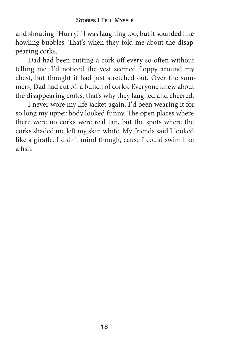and shouting "Hurry!" I was laughing too, but it sounded like howling bubbles. That's when they told me about the disappearing corks.

Dad had been cutting a cork off every so often without telling me. I'd noticed the vest seemed floppy around my chest, but thought it had just stretched out. Over the summers, Dad had cut off a bunch of corks. Everyone knew about the disappearing corks, that's why they laughed and cheered.

I never wore my life jacket again. I'd been wearing it for so long my upper body looked funny. The open places where there were no corks were real tan, but the spots where the corks shaded me left my skin white. My friends said I looked like a giraffe. I didn't mind though, cause I could swim like a fish.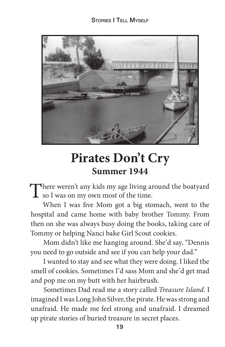

### **Pirates Don't Cry Summer 1944**

There weren't any kids my age living around the boatyard<br>
so I was on my own most of the time.

When I was five Mom got a big stomach, went to the hospital and came home with baby brother Tommy. From then on she was always busy doing the books, taking care of Tommy or helping Nanci bake Girl Scout cookies.

Mom didn't like me hanging around. She'd say, "Dennis you need to go outside and see if you can help your dad."

I wanted to stay and see what they were doing. I liked the smell of cookies. Sometimes I'd sass Mom and she'd get mad and pop me on my butt with her hairbrush.

Sometimes Dad read me a story called *Treasure Island*. I imagined I was Long John Silver, the pirate. He was strong and unafraid. He made me feel strong and unafraid. I dreamed up pirate stories of buried treasure in secret places.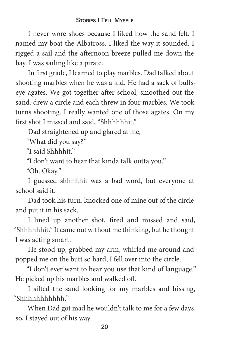#### STORIES I TELL MYSELF

I never wore shoes because I liked how the sand felt. I named my boat the Albatross. I liked the way it sounded. I rigged a sail and the afternoon breeze pulled me down the bay. I was sailing like a pirate.

In first grade, I learned to play marbles. Dad talked about shooting marbles when he was a kid. He had a sack of bullseye agates. We got together after school, smoothed out the sand, drew a circle and each threw in four marbles. We took turns shooting. I really wanted one of those agates. On my first shot I missed and said, "Shhhhhhit."

Dad straightened up and glared at me,

"What did you say?"

"I said Shhhhit."

"I don't want to hear that kinda talk outta you."

"Oh. Okay."

I guessed shhhhhit was a bad word, but everyone at school said it.

Dad took his turn, knocked one of mine out of the circle and put it in his sack.

I lined up another shot, fired and missed and said, "Shhhhhhit." It came out without me thinking, but he thought I was acting smart.

He stood up, grabbed my arm, whirled me around and popped me on the butt so hard, I fell over into the circle.

"I don't ever want to hear you use that kind of language." He picked up his marbles and walked off.

I sifted the sand looking for my marbles and hissing, "Shhhhhhhhhhh."

When Dad got mad he wouldn't talk to me for a few days so, I stayed out of his way.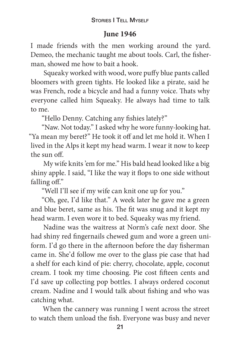### **June 1946**

I made friends with the men working around the yard. Demeo, the mechanic taught me about tools. Carl, the fisherman, showed me how to bait a hook.

Squeaky worked with wood, wore puffy blue pants called bloomers with green tights. He looked like a pirate, said he was French, rode a bicycle and had a funny voice. Thats why everyone called him Squeaky. He always had time to talk to me.

"Hello Denny. Catching any fishies lately?"

"Naw. Not today." I asked why he wore funny-looking hat. "Ya mean my beret?" He took it off and let me hold it. When I lived in the Alps it kept my head warm. I wear it now to keep the sun off.

My wife knits 'em for me." His bald head looked like a big shiny apple. I said, "I like the way it flops to one side without falling  $\mathrm{off}$ ."

"Well I'll see if my wife can knit one up for you."

"Oh, gee, I'd like that." A week later he gave me a green and blue beret, same as his. The fit was snug and it kept my head warm. I even wore it to bed. Squeaky was my friend.

Nadine was the waitress at Norm's cafe next door. She had shiny red fingernails chewed gum and wore a green uniform. I'd go there in the afternoon before the day fisherman came in. She'd follow me over to the glass pie case that had a shelf for each kind of pie: cherry, chocolate, apple, coconut cream. I took my time choosing. Pie cost fifteen cents and I'd save up collecting pop bottles. I always ordered coconut cream. Nadine and I would talk about fishing and who was catching what.

When the cannery was running I went across the street to watch them unload the fish. Everyone was busy and never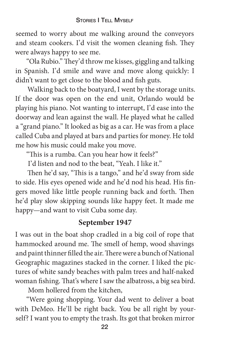seemed to worry about me walking around the conveyors and steam cookers. I'd visit the women cleaning fish. They were always happy to see me.

"Ola Rubio." They'd throw me kisses, giggling and talking in Spanish. I'd smile and wave and move along quickly: I didn't want to get close to the blood and fish guts.

Walking back to the boatyard, I went by the storage units. If the door was open on the end unit, Orlando would be playing his piano. Not wanting to interrupt, I'd ease into the doorway and lean against the wall. He played what he called a "grand piano." It looked as big as a car. He was from a place called Cuba and played at bars and parties for money. He told me how his music could make you move.

"This is a rumba. Can you hear how it feels?"

I'd listen and nod to the beat, "Yeah. I like it."

Then he'd say, "This is a tango," and he'd sway from side to side. His eyes opened wide and he'd nod his head. His fingers moved like little people running back and forth. Then he'd play slow skipping sounds like happy feet. It made me happy—and want to visit Cuba some day.

### **September 1947**

I was out in the boat shop cradled in a big coil of rope that hammocked around me. The smell of hemp, wood shavings and paint thinner filled the air. There were a bunch of National Geographic magazines stacked in the corner. I liked the pictures of white sandy beaches with palm trees and half-naked woman fishing. That's where I saw the albatross, a big sea bird.

Mom hollered from the kitchen,

"Were going shopping. Your dad went to deliver a boat with DeMeo. He'll be right back. You be all right by yourself? I want you to empty the trash. Its got that broken mirror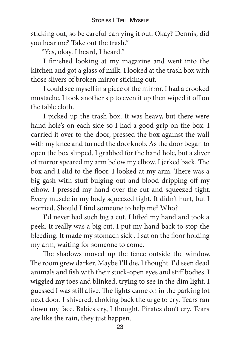sticking out, so be careful carrying it out. Okay? Dennis, did you hear me? Take out the trash."

"Yes, okay. I heard, I heard."

I finished looking at my magazine and went into the kitchen and got a glass of milk. I looked at the trash box with those slivers of broken mirror sticking out.

I could see myself in a piece of the mirror. I had a crooked mustache. I took another sip to even it up then wiped it off on the table cloth.

I picked up the trash box. It was heavy, but there were hand hole's on each side so I had a good grip on the box. I carried it over to the door, pressed the box against the wall with my knee and turned the doorknob. As the door began to open the box slipped. I grabbed for the hand hole, but a sliver of mirror speared my arm below my elbow. I jerked back. The box and I slid to the floor. I looked at my arm. There was a big gash with stuff bulging out and blood dripping off my elbow. I pressed my hand over the cut and squeezed tight. Every muscle in my body squeezed tight. It didn't hurt, but I worried. Should I find someone to help me? Who?

I'd never had such big a cut. I lifted my hand and took a peek. It really was a big cut. I put my hand back to stop the bleeding. It made my stomach sick. I sat on the floor holding my arm, waiting for someone to come.

The shadows moved up the fence outside the window. The room grew darker. Maybe I'll die, I thought. I'd seen dead animals and fish with their stuck-open eyes and stiff bodies. I wiggled my toes and blinked, trying to see in the dim light. I guessed I was still alive. The lights came on in the parking lot next door. I shivered, choking back the urge to cry. Tears ran down my face. Babies cry, I thought. Pirates don't cry. Tears are like the rain, they just happen.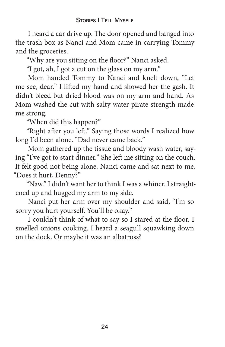#### STORIES **I TELL MYSELE**

I heard a car drive up. The door opened and banged into the trash box as Nanci and Mom came in carrying Tommy and the groceries.

"Why are you sitting on the floor?" Nanci asked.

"I got, ah, I got a cut on the glass on my arm."

Mom handed Tommy to Nanci and knelt down, "Let me see, dear." I lifted my hand and showed her the gash. It didn't bleed but dried blood was on my arm and hand. As Mom washed the cut with salty water pirate strength made me strong.

"When did this happen?"

"Right after you left." Saying those words I realized how long I'd been alone. "Dad never came back."

Mom gathered up the tissue and bloody wash water, saying "I've got to start dinner." She left me sitting on the couch. It felt good not being alone. Nanci came and sat next to me, "Does it hurt, Denny?"

"Naw." I didn't want her to think I was a whiner. I straightened up and hugged my arm to my side.

Nanci put her arm over my shoulder and said, "I'm so sorry you hurt yourself. You'll be okay."

I couldn't think of what to say so I stared at the floor. I smelled onions cooking. I heard a seagull squawking down on the dock. Or maybe it was an albatross?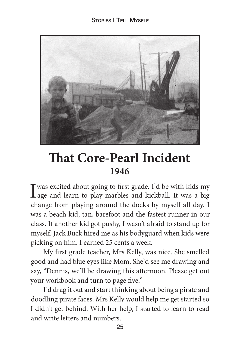

### **That Core-Pearl Incident 1946**

Twas excited about going to first grade. I'd be with kids my **L**age and learn to play marbles and kickball. It was a big change from playing around the docks by myself all day. I was a beach kid; tan, barefoot and the fastest runner in our class. If another kid got pushy, I wasn't afraid to stand up for myself. Jack Buck hired me as his bodyguard when kids were picking on him. I earned 25 cents a week.

My first grade teacher, Mrs Kelly, was nice. She smelled good and had blue eyes like Mom. She'd see me drawing and say, "Dennis, we'll be drawing this afternoon. Please get out your workbook and turn to page five."

I'd drag it out and start thinking about being a pirate and doodling pirate faces. Mrs Kelly would help me get started so I didn't get behind. With her help, I started to learn to read and write letters and numbers.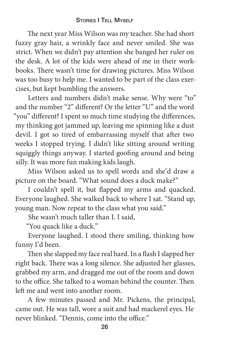#### STORIES I TELL MYSELF

The next year Miss Wilson was my teacher. She had short fuzzy gray hair, a wrinkly face and never smiled. She was strict. When we didn't pay attention she banged her ruler on the desk. A lot of the kids were ahead of me in their workbooks. There wasn't time for drawing pictures. Miss Wilson was too busy to help me. I wanted to be part of the class exercises, but kept bumbling the answers.

Letters and numbers didn't make sense. Why were "to" and the number "2" different? Or the letter "U" and the word "you" different? I spent so much time studying the differences, my thinking got jammed up, leaving me spinning like a dust devil. I got so tired of embarrassing myself that after two weeks I stopped trying. I didn't like sitting around writing squiggly things anyway. I started goofing around and being silly. It was more fun making kids laugh.

Miss Wilson asked us to spell words and she'd draw a picture on the board. "What sound does a duck make?"

I couldn't spell it, but flapped my arms and quacked. Everyone laughed. She walked back to where I sat. "Stand up, young man. Now repeat to the class what you said."

She wasn't much taller than I. I said,

"You quack like a duck."

Everyone laughed. I stood there smiling, thinking how funny I'd been.

Then she slapped my face real hard. In a flash I slapped her right back. There was a long silence. She adjusted her glasses, grabbed my arm, and dragged me out of the room and down to the office. She talked to a woman behind the counter. Then left me and went into another room.

A few minutes passed and Mr. Pickens, the principal, came out. He was tall, wore a suit and had mackerel eyes. He never blinked. "Dennis, come into the office."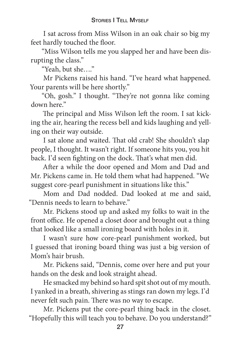I sat across from Miss Wilson in an oak chair so big my feet hardly touched the floor.

"Miss Wilson tells me you slapped her and have been disrupting the class."

"Yeah, but she…."

Mr Pickens raised his hand. "I've heard what happened. Your parents will be here shortly."

"Oh, gosh." I thought. "They're not gonna like coming down here"

The principal and Miss Wilson left the room. I sat kicking the air, hearing the recess bell and kids laughing and yelling on their way outside.

I sat alone and waited. That old crab! She shouldn't slap people, I thought. It wasn't right. If someone hits you, you hit back. I'd seen fighting on the dock. That's what men did.

A
er a while the door opened and Mom and Dad and Mr. Pickens came in. He told them what had happened. "We suggest core-pearl punishment in situations like this."

Mom and Dad nodded. Dad looked at me and said, "Dennis needs to learn to behave."

Mr. Pickens stood up and asked my folks to wait in the front office. He opened a closet door and brought out a thing that looked like a small ironing board with holes in it.

I wasn't sure how core-pearl punishment worked, but I guessed that ironing board thing was just a big version of Mom's hair brush.

Mr. Pickens said, "Dennis, come over here and put your hands on the desk and look straight ahead.

He smacked my behind so hard spit shot out of my mouth. I yanked in a breath, shivering as stings ran down my legs. I'd never felt such pain. There was no way to escape.

Mr. Pickens put the core-pearl thing back in the closet. "Hopefully this will teach you to behave. Do you understand?"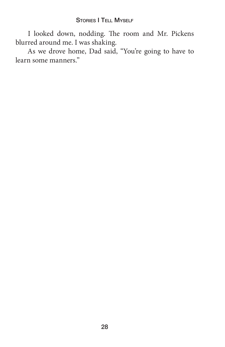I looked down, nodding. The room and Mr. Pickens blurred around me. I was shaking.

As we drove home, Dad said, "You're going to have to learn some manners."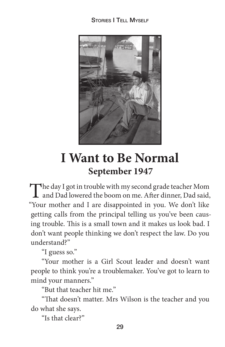#### STORIES **I TELL MYSELE**



### **I Want to Be Normal September 1947**

The day I got in trouble with my second grade teacher Mom<br>and Dad lowered the boom on me. After dinner, Dad said, "Your mother and I are disappointed in you. We don't like getting calls from the principal telling us you've been causing trouble. This is a small town and it makes us look bad. I don't want people thinking we don't respect the law. Do you understand?"

"I guess so."

"Your mother is a Girl Scout leader and doesn't want people to think you're a troublemaker. You've got to learn to mind your manners."

"But that teacher hit me."

"That doesn't matter. Mrs Wilson is the teacher and you do what she says.

"Is that clear?"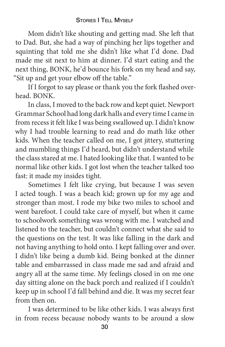Mom didn't like shouting and getting mad. She left that to Dad. But, she had a way of pinching her lips together and squinting that told me she didn't like what I'd done. Dad made me sit next to him at dinner. I'd start eating and the next thing, BONK, he'd bounce his fork on my head and say, "Sit up and get your elbow off the table."

If I forgot to say please or thank you the fork flashed overhead. BONK.

In class, I moved to the back row and kept quiet. Newport Grammar School had long dark halls and every time I came in from recess it felt like I was being swallowed up. I didn't know why I had trouble learning to read and do math like other kids. When the teacher called on me, I got jittery, stuttering and mumbling things I'd heard, but didn't understand while the class stared at me. I hated looking like that. I wanted to be normal like other kids. I got lost when the teacher talked too fast: it made my insides tight.

Sometimes I felt like crying, but because I was seven I acted tough. I was a beach kid; grown up for my age and stronger than most. I rode my bike two miles to school and went barefoot. I could take care of myself, but when it came to schoolwork something was wrong with me. I watched and listened to the teacher, but couldn't connect what she said to the questions on the test. It was like falling in the dark and not having anything to hold onto. I kept falling over and over. I didn't like being a dumb kid. Being bonked at the dinner table and embarrassed in class made me sad and afraid and angry all at the same time. My feelings closed in on me one day sitting alone on the back porch and realized if I couldn't keep up in school I'd fall behind and die. It was my secret fear from then on.

I was determined to be like other kids. I was always first in from recess because nobody wants to be around a slow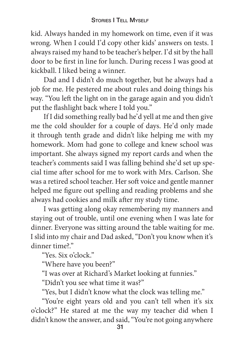kid. Always handed in my homework on time, even if it was wrong. When I could I'd copy other kids' answers on tests. I always raised my hand to be teacher's helper. I'd sit by the hall door to be first in line for lunch. During recess I was good at kickball. I liked being a winner.

Dad and I didn't do much together, but he always had a job for me. He pestered me about rules and doing things his way. "You left the light on in the garage again and you didn't put the flashlight back where I told you."

If I did something really bad he'd yell at me and then give me the cold shoulder for a couple of days. He'd only made it through tenth grade and didn't like helping me with my homework. Mom had gone to college and knew school was important. She always signed my report cards and when the teacher's comments said I was falling behind she'd set up special time after school for me to work with Mrs. Carlson. She was a retired school teacher. Her soft voice and gentle manner helped me figure out spelling and reading problems and she always had cookies and milk after my study time.

I was getting along okay remembering my manners and staying out of trouble, until one evening when I was late for dinner. Everyone was sitting around the table waiting for me. I slid into my chair and Dad asked, "Don't you know when it's dinner time?."

"Yes. Six o'clock."

"Where have you been?"

"I was over at Richard's Market looking at funnies."

"Didn't you see what time it was?"

"Yes, but I didn't know what the clock was telling me."

"You're eight years old and you can't tell when it's six o'clock?" He stared at me the way my teacher did when I didn't know the answer, and said, "You're not going anywhere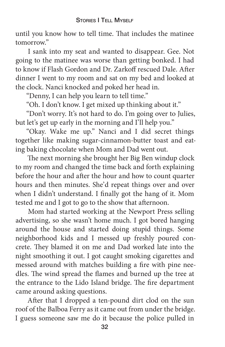until you know how to tell time. That includes the matinee tomorrow."

I sank into my seat and wanted to disappear. Gee. Not going to the matinee was worse than getting bonked. I had to know if Flash Gordon and Dr. Zarkoff rescued Dale. After dinner I went to my room and sat on my bed and looked at the clock. Nanci knocked and poked her head in.

"Denny, I can help you learn to tell time."

"Oh. I don't know. I get mixed up thinking about it."

"Don't worry. It's not hard to do. I'm going over to Julies, but let's get up early in the morning and I'll help you."

"Okay. Wake me up." Nanci and I did secret things together like making sugar-cinnamon-butter toast and eating baking chocolate when Mom and Dad went out.

The next morning she brought her Big Ben windup clock to my room and changed the time back and forth explaining before the hour and after the hour and how to count quarter hours and then minutes. She'd repeat things over and over when I didn't understand. I finally got the hang of it. Mom tested me and I got to go to the show that afternoon.

Mom had started working at the Newport Press selling advertising, so she wasn't home much. I got bored hanging around the house and started doing stupid things. Some neighborhood kids and I messed up freshly poured concrete. They blamed it on me and Dad worked late into the night smoothing it out. I got caught smoking cigarettes and messed around with matches building a fire with pine needles. The wind spread the flames and burned up the tree at the entrance to the Lido Island bridge. The fire department came around asking questions.

After that I dropped a ten-pound dirt clod on the sun roof of the Balboa Ferry as it came out from under the bridge. I guess someone saw me do it because the police pulled in